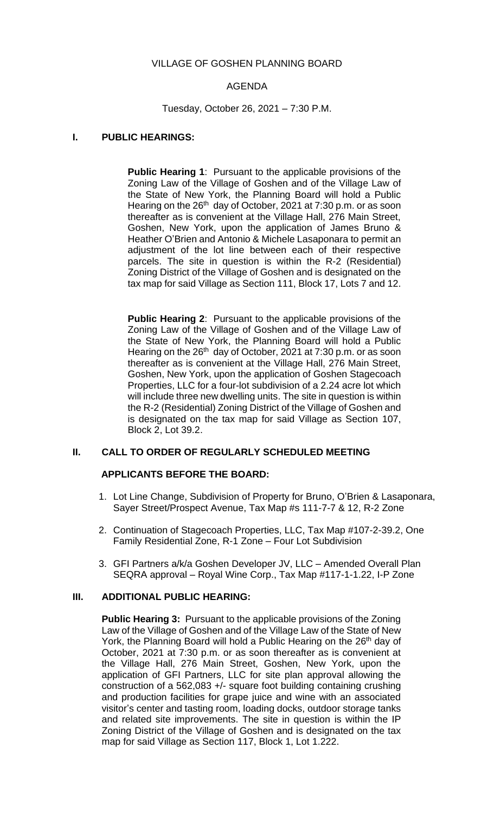### VILLAGE OF GOSHEN PLANNING BOARD

## AGENDA

## Tuesday, October 26, 2021 – 7:30 P.M.

## **I. PUBLIC HEARINGS:**

**Public Hearing 1**: Pursuant to the applicable provisions of the Zoning Law of the Village of Goshen and of the Village Law of the State of New York, the Planning Board will hold a Public Hearing on the  $26<sup>th</sup>$  day of October, 2021 at 7:30 p.m. or as soon thereafter as is convenient at the Village Hall, 276 Main Street, Goshen, New York, upon the application of James Bruno & Heather O'Brien and Antonio & Michele Lasaponara to permit an adjustment of the lot line between each of their respective parcels. The site in question is within the R-2 (Residential) Zoning District of the Village of Goshen and is designated on the tax map for said Village as Section 111, Block 17, Lots 7 and 12.

**Public Hearing 2**: Pursuant to the applicable provisions of the Zoning Law of the Village of Goshen and of the Village Law of the State of New York, the Planning Board will hold a Public Hearing on the 26<sup>th</sup> day of October, 2021 at 7:30 p.m. or as soon thereafter as is convenient at the Village Hall, 276 Main Street, Goshen, New York, upon the application of Goshen Stagecoach Properties, LLC for a four-lot subdivision of a 2.24 acre lot which will include three new dwelling units. The site in question is within the R-2 (Residential) Zoning District of the Village of Goshen and is designated on the tax map for said Village as Section 107, Block 2, Lot 39.2.

### **II. CALL TO ORDER OF REGULARLY SCHEDULED MEETING**

### **APPLICANTS BEFORE THE BOARD:**

- 1. Lot Line Change, Subdivision of Property for Bruno, O'Brien & Lasaponara, Sayer Street/Prospect Avenue, Tax Map #s 111-7-7 & 12, R-2 Zone
- 2. Continuation of Stagecoach Properties, LLC, Tax Map #107-2-39.2, One Family Residential Zone, R-1 Zone – Four Lot Subdivision
- 3. GFI Partners a/k/a Goshen Developer JV, LLC Amended Overall Plan SEQRA approval – Royal Wine Corp., Tax Map #117-1-1.22, I-P Zone

### **III. ADDITIONAL PUBLIC HEARING:**

**Public Hearing 3:** Pursuant to the applicable provisions of the Zoning Law of the Village of Goshen and of the Village Law of the State of New York, the Planning Board will hold a Public Hearing on the 26<sup>th</sup> day of October, 2021 at 7:30 p.m. or as soon thereafter as is convenient at the Village Hall, 276 Main Street, Goshen, New York, upon the application of GFI Partners, LLC for site plan approval allowing the construction of a 562,083 +/- square foot building containing crushing and production facilities for grape juice and wine with an associated visitor's center and tasting room, loading docks, outdoor storage tanks and related site improvements. The site in question is within the IP Zoning District of the Village of Goshen and is designated on the tax map for said Village as Section 117, Block 1, Lot 1.222.